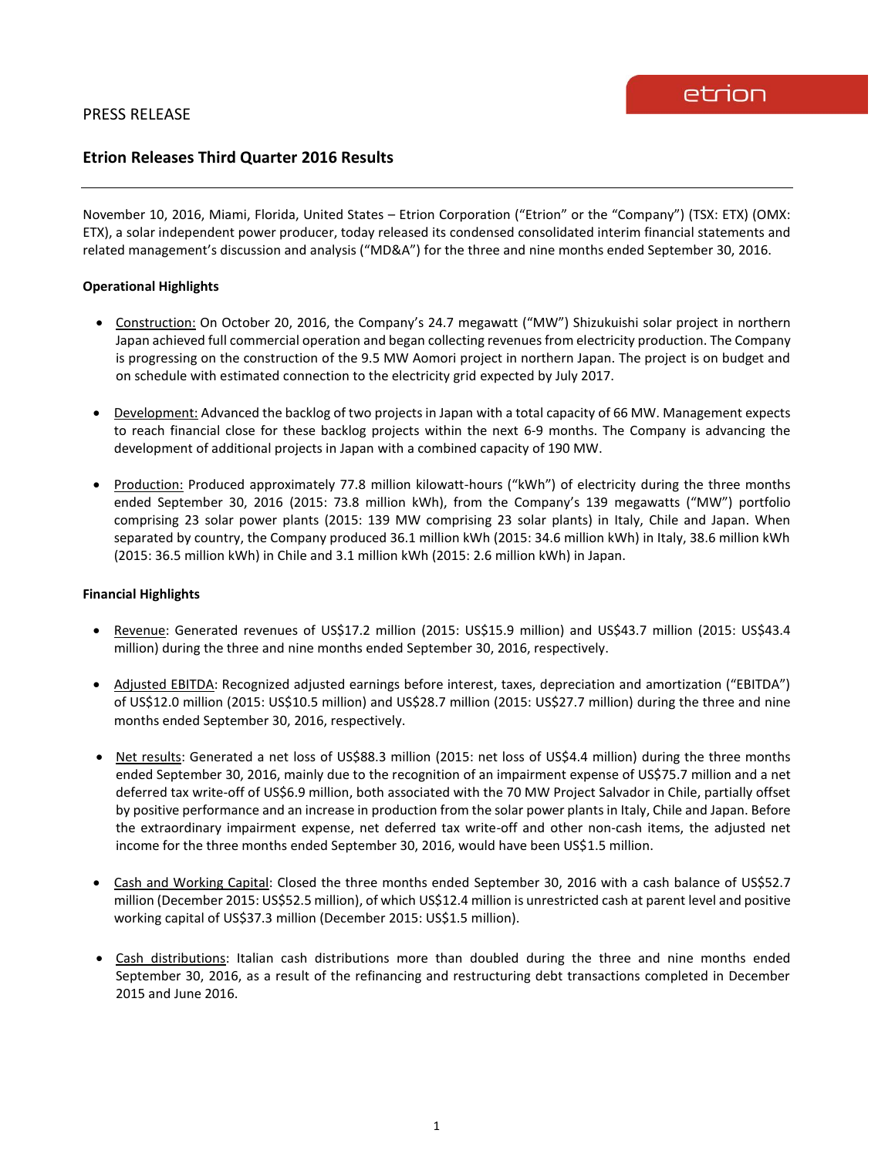# **Etrion Releases Third Quarter 2016 Results**

November 10, 2016, Miami, Florida, United States – Etrion Corporation ("Etrion" or the "Company") (TSX: ETX) (OMX: ETX), a solar independent power producer, today released its condensed consolidated interim financial statements and related management's discussion and analysis ("MD&A") for the three and nine months ended September 30, 2016.

# **Operational Highlights**

- Construction: On October 20, 2016, the Company's 24.7 megawatt ("MW") Shizukuishi solar project in northern Japan achieved full commercial operation and began collecting revenuesfrom electricity production. The Company is progressing on the construction of the 9.5 MW Aomori project in northern Japan. The project is on budget and on schedule with estimated connection to the electricity grid expected by July 2017.
- Development: Advanced the backlog of two projects in Japan with a total capacity of 66 MW. Management expects to reach financial close for these backlog projects within the next 6-9 months. The Company is advancing the development of additional projects in Japan with a combined capacity of 190 MW.
- Production: Produced approximately 77.8 million kilowatt-hours ("kWh") of electricity during the three months ended September 30, 2016 (2015: 73.8 million kWh), from the Company's 139 megawatts ("MW") portfolio comprising 23 solar power plants (2015: 139 MW comprising 23 solar plants) in Italy, Chile and Japan. When separated by country, the Company produced 36.1 million kWh (2015: 34.6 million kWh) in Italy, 38.6 million kWh (2015: 36.5 million kWh) in Chile and 3.1 million kWh (2015: 2.6 million kWh) in Japan.

# **Financial Highlights**

- Revenue: Generated revenues of US\$17.2 million (2015: US\$15.9 million) and US\$43.7 million (2015: US\$43.4 million) during the three and nine months ended September 30, 2016, respectively.
- Adjusted EBITDA: Recognized adjusted earnings before interest, taxes, depreciation and amortization ("EBITDA") of US\$12.0 million (2015: US\$10.5 million) and US\$28.7 million (2015: US\$27.7 million) during the three and nine months ended September 30, 2016, respectively.
- Net results: Generated a net loss of US\$88.3 million (2015: net loss of US\$4.4 million) during the three months ended September 30, 2016, mainly due to the recognition of an impairment expense of US\$75.7 million and a net deferred tax write-off of US\$6.9 million, both associated with the 70 MW Project Salvador in Chile, partially offset by positive performance and an increase in production from the solar power plants in Italy, Chile and Japan. Before the extraordinary impairment expense, net deferred tax write-off and other non-cash items, the adjusted net income for the three months ended September 30, 2016, would have been US\$1.5 million.
- Cash and Working Capital: Closed the three months ended September 30, 2016 with a cash balance of US\$52.7 million (December 2015: US\$52.5 million), of which US\$12.4 million is unrestricted cash at parent level and positive working capital of US\$37.3 million (December 2015: US\$1.5 million).
- Cash distributions: Italian cash distributions more than doubled during the three and nine months ended September 30, 2016, as a result of the refinancing and restructuring debt transactions completed in December 2015 and June 2016.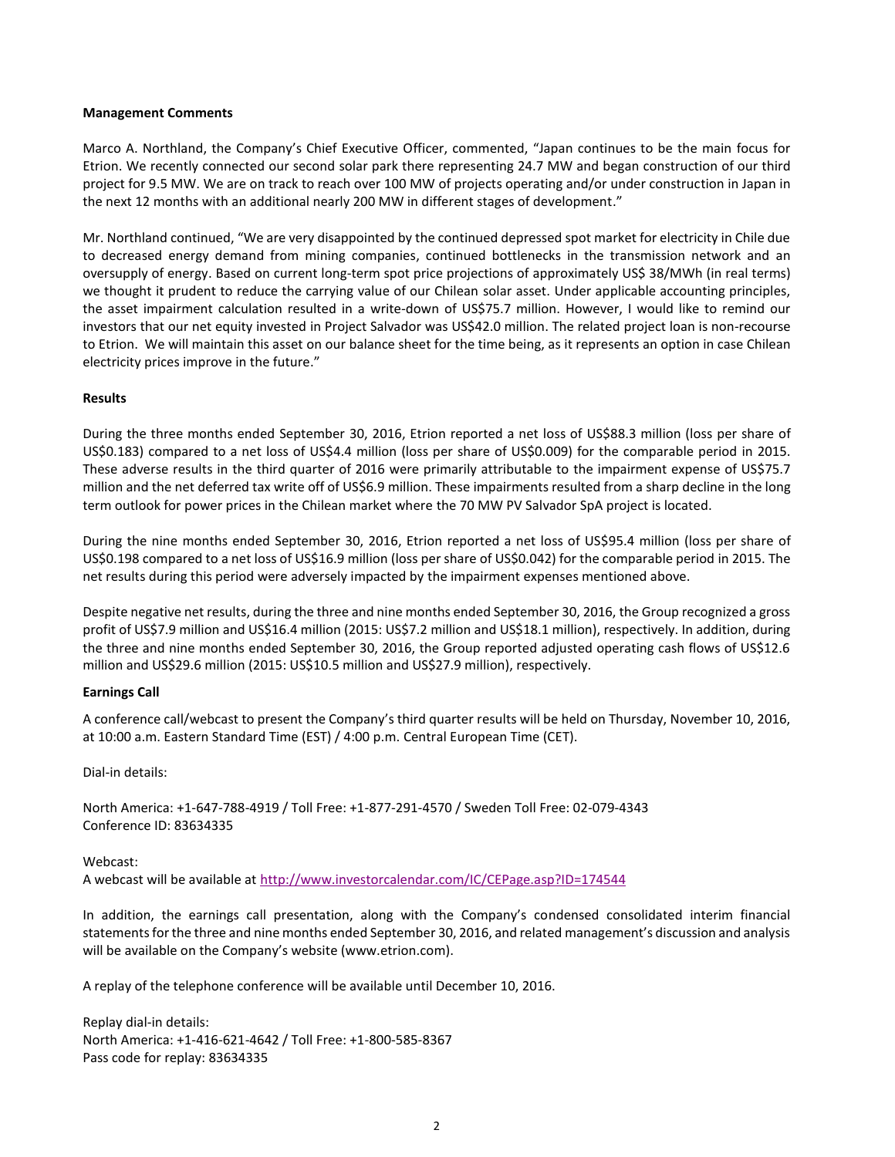### **Management Comments**

Marco A. Northland, the Company's Chief Executive Officer, commented, "Japan continues to be the main focus for Etrion. We recently connected our second solar park there representing 24.7 MW and began construction of our third project for 9.5 MW. We are on track to reach over 100 MW of projects operating and/or under construction in Japan in the next 12 months with an additional nearly 200 MW in different stages of development."

Mr. Northland continued, "We are very disappointed by the continued depressed spot market for electricity in Chile due to decreased energy demand from mining companies, continued bottlenecks in the transmission network and an oversupply of energy. Based on current long-term spot price projections of approximately US\$ 38/MWh (in real terms) we thought it prudent to reduce the carrying value of our Chilean solar asset. Under applicable accounting principles, the asset impairment calculation resulted in a write-down of US\$75.7 million. However, I would like to remind our investors that our net equity invested in Project Salvador was US\$42.0 million. The related project loan is non-recourse to Etrion. We will maintain this asset on our balance sheet for the time being, as it represents an option in case Chilean electricity prices improve in the future."

### **Results**

During the three months ended September 30, 2016, Etrion reported a net loss of US\$88.3 million (loss per share of US\$0.183) compared to a net loss of US\$4.4 million (loss per share of US\$0.009) for the comparable period in 2015. These adverse results in the third quarter of 2016 were primarily attributable to the impairment expense of US\$75.7 million and the net deferred tax write off of US\$6.9 million. These impairments resulted from a sharp decline in the long term outlook for power prices in the Chilean market where the 70 MW PV Salvador SpA project is located.

During the nine months ended September 30, 2016, Etrion reported a net loss of US\$95.4 million (loss per share of US\$0.198 compared to a net loss of US\$16.9 million (loss per share of US\$0.042) for the comparable period in 2015. The net results during this period were adversely impacted by the impairment expenses mentioned above.

Despite negative net results, during the three and nine months ended September 30, 2016, the Group recognized a gross profit of US\$7.9 million and US\$16.4 million (2015: US\$7.2 million and US\$18.1 million), respectively. In addition, during the three and nine months ended September 30, 2016, the Group reported adjusted operating cash flows of US\$12.6 million and US\$29.6 million (2015: US\$10.5 million and US\$27.9 million), respectively.

#### **Earnings Call**

A conference call/webcast to present the Company's third quarter results will be held on Thursday, November 10, 2016, at 10:00 a.m. Eastern Standard Time (EST) / 4:00 p.m. Central European Time (CET).

Dial-in details:

North America: +1-647-788-4919 / Toll Free: +1-877-291-4570 / Sweden Toll Free: 02-079-4343 Conference ID: 83634335

#### Webcast:

A webcast will be available at<http://www.investorcalendar.com/IC/CEPage.asp?ID=174544>

In addition, the earnings call presentation, along with the Company's condensed consolidated interim financial statements for the three and nine months ended September 30, 2016, and related management's discussion and analysis will be available on the Company's website (www.etrion.com).

A replay of the telephone conference will be available until December 10, 2016.

Replay dial-in details: North America: +1-416-621-4642 / Toll Free: +1-800-585-8367 Pass code for replay: 83634335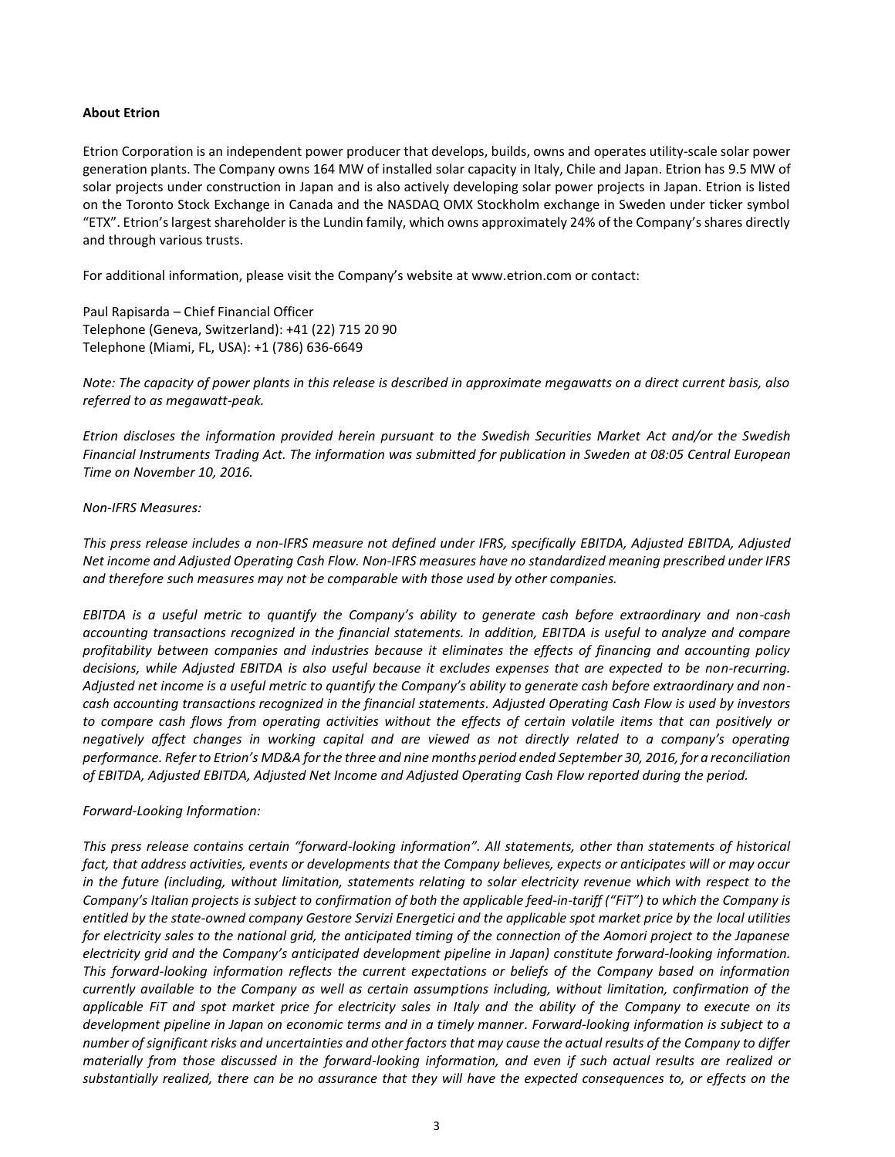## **About Etrion**

Etrion Corporation is an independent power producer that develops, builds, owns and operates utility-scale solar power generation plants. The Company owns 164 MW of installed solar capacity in Italy, Chile and Japan. Etrion has 9.5 MW of solar projects under construction in Japan and is also actively developing solar power projects in Japan. Etrion is listed on the Toronto Stock Exchange in Canada and the NASDAQ OMX Stockholm exchange in Sweden under ticker symbol "ETX". Etrion's largest shareholder is the Lundin family, which owns approximately 24% of the Company's shares directly and through various trusts.

For additional information, please visit the Company's website at www.etrion.com or contact:

Paul Rapisarda – Chief Financial Officer Telephone (Geneva, Switzerland): +41 (22) 715 20 90 Telephone (Miami, FL, USA): +1 (786) 636-6649

*Note: The capacity of power plants in this release is described in approximate megawatts on a direct current basis, also referred to as megawatt-peak.*

*Etrion discloses the information provided herein pursuant to the Swedish Securities Market Act and/or the Swedish Financial Instruments Trading Act. The information was submitted for publication in Sweden at 08:05 Central European Time on November 10, 2016.*

#### *Non-IFRS Measures:*

*This press release includes a non-IFRS measure not defined under IFRS, specifically EBITDA, Adjusted EBITDA, Adjusted Net income and Adjusted Operating Cash Flow. Non-IFRS measures have no standardized meaning prescribed under IFRS and therefore such measures may not be comparable with those used by other companies.* 

*EBITDA is a useful metric to quantify the Company's ability to generate cash before extraordinary and non-cash accounting transactions recognized in the financial statements. In addition, EBITDA is useful to analyze and compare profitability between companies and industries because it eliminates the effects of financing and accounting policy decisions, while Adjusted EBITDA is also useful because it excludes expenses that are expected to be non-recurring. Adjusted net income is a useful metric to quantify the Company's ability to generate cash before extraordinary and noncash accounting transactions recognized in the financial statements. Adjusted Operating Cash Flow is used by investors*  to compare cash flows from operating activities without the effects of certain volatile items that can positively or *negatively affect changes in working capital and are viewed as not directly related to a company's operating performance. Refer to Etrion's MD&A for the three and nine months period ended September 30, 2016, for a reconciliation of EBITDA, Adjusted EBITDA, Adjusted Net Income and Adjusted Operating Cash Flow reported during the period.* 

#### *Forward-Looking Information:*

*This press release contains certain "forward-looking information". All statements, other than statements of historical fact, that address activities, events or developments that the Company believes, expects or anticipates will or may occur in the future (including, without limitation, statements relating to solar electricity revenue which with respect to the Company's Italian projects is subject to confirmation of both the applicable feed-in-tariff ("FiT") to which the Company is entitled by the state-owned company Gestore Servizi Energetici and the applicable spot market price by the local utilities for electricity sales to the national grid, the anticipated timing of the connection of the Aomori project to the Japanese electricity grid and the Company's anticipated development pipeline in Japan) constitute forward-looking information. This forward-looking information reflects the current expectations or beliefs of the Company based on information currently available to the Company as well as certain assumptions including, without limitation, confirmation of the applicable FiT and spot market price for electricity sales in Italy and the ability of the Company to execute on its development pipeline in Japan on economic terms and in a timely manner. Forward-looking information is subject to a number of significant risks and uncertainties and other factors that may cause the actual results of the Company to differ materially from those discussed in the forward-looking information, and even if such actual results are realized or substantially realized, there can be no assurance that they will have the expected consequences to, or effects on the*